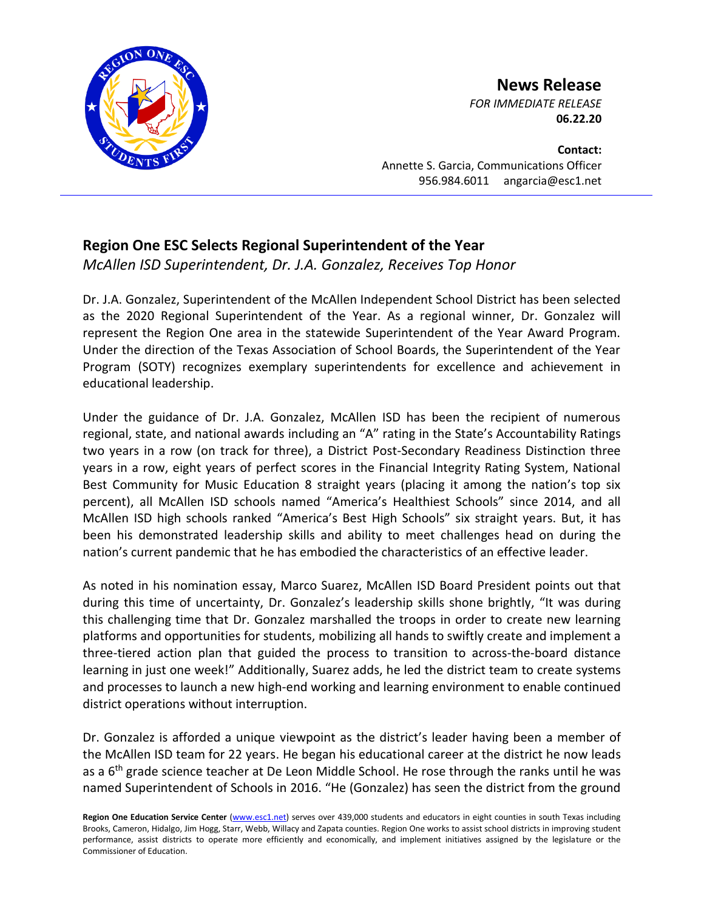

## **News Release**

*FOR IMMEDIATE RELEASE* **06.22.20**

**Contact:** Annette S. Garcia, Communications Officer 956.984.6011 angarcia@esc1.net

## **Region One ESC Selects Regional Superintendent of the Year**

*McAllen ISD Superintendent, Dr. J.A. Gonzalez, Receives Top Honor*

Dr. J.A. Gonzalez, Superintendent of the McAllen Independent School District has been selected as the 2020 Regional Superintendent of the Year. As a regional winner, Dr. Gonzalez will represent the Region One area in the statewide Superintendent of the Year Award Program. Under the direction of the Texas Association of School Boards, the Superintendent of the Year Program (SOTY) recognizes exemplary superintendents for excellence and achievement in educational leadership.

Under the guidance of Dr. J.A. Gonzalez, McAllen ISD has been the recipient of numerous regional, state, and national awards including an "A" rating in the State's Accountability Ratings two years in a row (on track for three), a District Post-Secondary Readiness Distinction three years in a row, eight years of perfect scores in the Financial Integrity Rating System, National Best Community for Music Education 8 straight years (placing it among the nation's top six percent), all McAllen ISD schools named "America's Healthiest Schools" since 2014, and all McAllen ISD high schools ranked "America's Best High Schools" six straight years. But, it has been his demonstrated leadership skills and ability to meet challenges head on during the nation's current pandemic that he has embodied the characteristics of an effective leader.

As noted in his nomination essay, Marco Suarez, McAllen ISD Board President points out that during this time of uncertainty, Dr. Gonzalez's leadership skills shone brightly, "It was during this challenging time that Dr. Gonzalez marshalled the troops in order to create new learning platforms and opportunities for students, mobilizing all hands to swiftly create and implement a three-tiered action plan that guided the process to transition to across-the-board distance learning in just one week!" Additionally, Suarez adds, he led the district team to create systems and processes to launch a new high-end working and learning environment to enable continued district operations without interruption.

Dr. Gonzalez is afforded a unique viewpoint as the district's leader having been a member of the McAllen ISD team for 22 years. He began his educational career at the district he now leads as a 6<sup>th</sup> grade science teacher at De Leon Middle School. He rose through the ranks until he was named Superintendent of Schools in 2016. "He (Gonzalez) has seen the district from the ground

Region One Education Service Center [\(www.esc1.net\)](http://www.esc1.net/) serves over 439,000 students and educators in eight counties in south Texas including Brooks, Cameron, Hidalgo, Jim Hogg, Starr, Webb, Willacy and Zapata counties. Region One works to assist school districts in improving student performance, assist districts to operate more efficiently and economically, and implement initiatives assigned by the legislature or the Commissioner of Education.